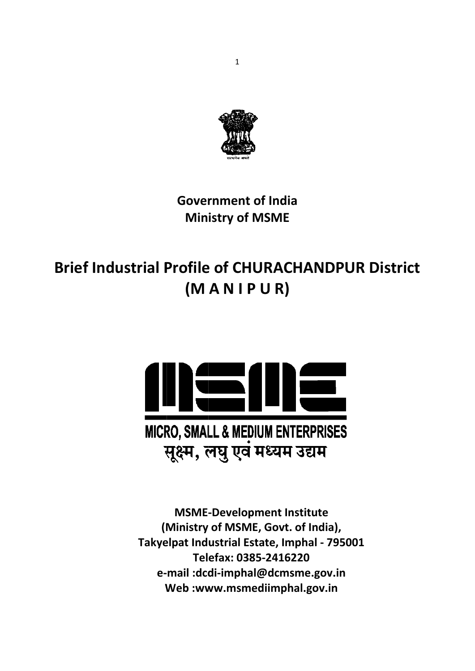

# **Gover rnment of India Min istry of MSME**

# **Brief Industrial Profile of CHURACHANDPUR D (M A N I P P U R)**



**(M Ministry of MSM ME, Govt. of India ), Takye elpat Ind ustrial Es state, Im mphal ‐ 79 95001 e‐ mail :dcd di‐impha al@dcms sme.gov. .in W Web :ww ww.msm mediimph hal.gov.in MSME‐ Develop pment In nstitute Tel efax: 038 85‐24162 220**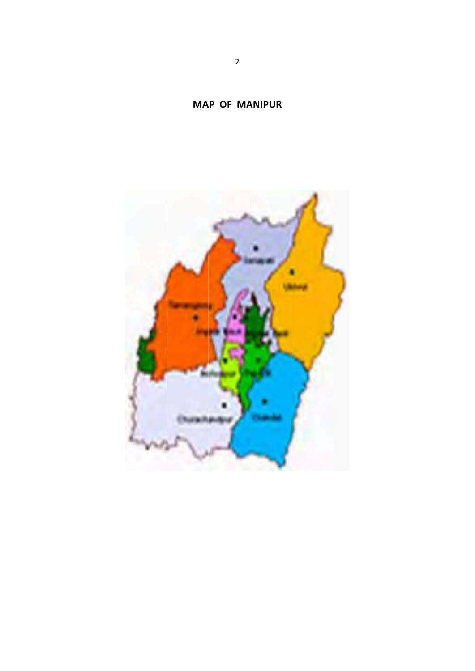

# **MA P OF MANIPUR**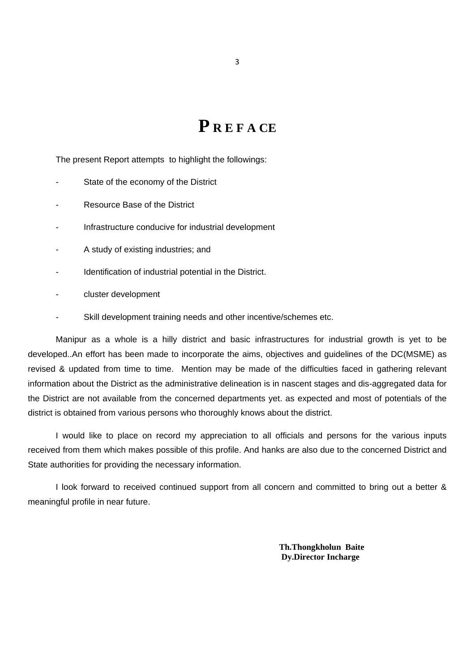# **P R E F A CE**

The present Report attempts to highlight the followings:

- State of the economy of the District
- Resource Base of the District
- Infrastructure conducive for industrial development
- A study of existing industries; and
- Identification of industrial potential in the District.
- cluster development
- Skill development training needs and other incentive/schemes etc.

 Manipur as a whole is a hilly district and basic infrastructures for industrial growth is yet to be developed..An effort has been made to incorporate the aims, objectives and guidelines of the DC(MSME) as revised & updated from time to time. Mention may be made of the difficulties faced in gathering relevant information about the District as the administrative delineation is in nascent stages and dis-aggregated data for the District are not available from the concerned departments yet. as expected and most of potentials of the district is obtained from various persons who thoroughly knows about the district.

I would like to place on record my appreciation to all officials and persons for the various inputs received from them which makes possible of this profile. And hanks are also due to the concerned District and State authorities for providing the necessary information.

I look forward to received continued support from all concern and committed to bring out a better & meaningful profile in near future.

> **Th.Thongkholun Baite Dy.Director Incharge**

3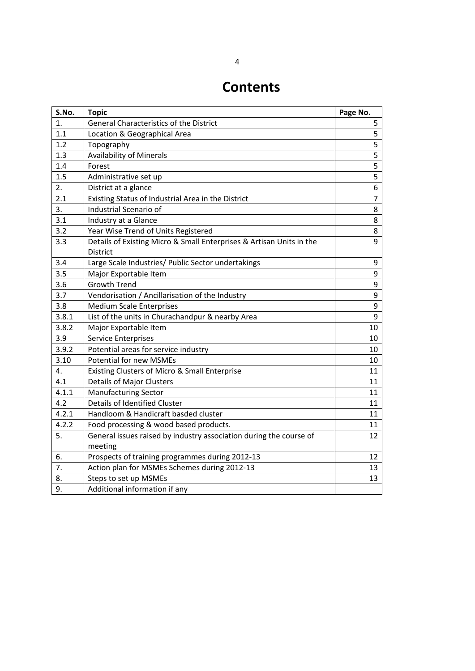# **Contents**

| S.No.            | <b>Topic</b>                                                         | Page No.         |
|------------------|----------------------------------------------------------------------|------------------|
| 1.               | General Characteristics of the District                              | 5                |
| 1.1              | Location & Geographical Area                                         | 5                |
| 1.2              | Topography                                                           | $\overline{5}$   |
| 1.3              | <b>Availability of Minerals</b>                                      | 5                |
| 1.4              | Forest                                                               | 5                |
| 1.5              | Administrative set up                                                | 5                |
| 2.               | District at a glance                                                 | 6                |
| 2.1              | Existing Status of Industrial Area in the District                   | 7                |
| $\overline{3}$ . | Industrial Scenario of                                               | 8                |
| 3.1              | Industry at a Glance                                                 | $\bf 8$          |
| 3.2              | Year Wise Trend of Units Registered                                  | 8                |
| 3.3              | Details of Existing Micro & Small Enterprises & Artisan Units in the | 9                |
|                  | <b>District</b>                                                      |                  |
| 3.4              | Large Scale Industries/ Public Sector undertakings                   | 9                |
| 3.5              | Major Exportable Item                                                | 9                |
| 3.6              | Growth Trend                                                         | 9                |
| 3.7              | Vendorisation / Ancillarisation of the Industry                      | $\boldsymbol{9}$ |
| 3.8              | <b>Medium Scale Enterprises</b>                                      | 9                |
| 3.8.1            | List of the units in Churachandpur & nearby Area                     | 9                |
| 3.8.2            | Major Exportable Item                                                | 10               |
| 3.9              | Service Enterprises                                                  | 10               |
| 3.9.2            | Potential areas for service industry                                 | 10               |
| 3.10             | <b>Potential for new MSMEs</b>                                       | 10               |
| 4.               | Existing Clusters of Micro & Small Enterprise                        | 11               |
| 4.1              | <b>Details of Major Clusters</b>                                     | 11               |
| 4.1.1            | <b>Manufacturing Sector</b>                                          | 11               |
| 4.2              | <b>Details of Identified Cluster</b>                                 | 11               |
| 4.2.1            | Handloom & Handicraft basded cluster                                 | 11               |
| 4.2.2            | Food processing & wood based products.                               | 11               |
| 5.               | General issues raised by industry association during the course of   | 12               |
|                  | meeting                                                              |                  |
| 6.               | Prospects of training programmes during 2012-13                      | 12               |
| 7.               | Action plan for MSMEs Schemes during 2012-13                         | 13               |
| 8.               | Steps to set up MSMEs                                                | 13               |
| 9.               | Additional information if any                                        |                  |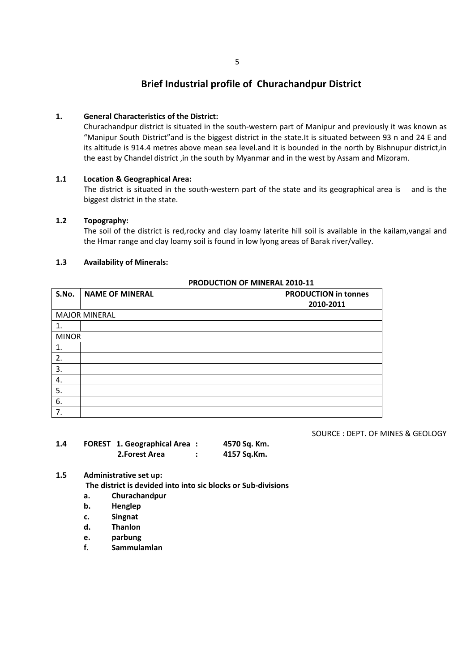## **Brief Industrial profile of Churachandpur District**

#### **1. General Characteristics of the District:**

Churachandpur district is situated in the south‐western part of Manipur and previously it was known as "Manipur South District"and is the biggest district in the state.It is situated between 93 n and 24 E and its altitude is 914.4 metres above mean sea level.and it is bounded in the north by Bishnupur district,in the east by Chandel district ,in the south by Myanmar and in the west by Assam and Mizoram.

#### **1.1 Location & Geographical Area:**

The district is situated in the south-western part of the state and its geographical area is and is the biggest district in the state.

#### **1.2 Topography:**

The soil of the district is red,rocky and clay loamy laterite hill soil is available in the kailam,vangai and the Hmar range and clay loamy soil is found in low lyong areas of Barak river/valley.

#### **1.3 Availability of Minerals:**

#### **PRODUCTION OF MINERAL 2010‐11**

| S.No.        | <b>NAME OF MINERAL</b> | <b>PRODUCTION in tonnes</b><br>2010-2011 |
|--------------|------------------------|------------------------------------------|
|              |                        |                                          |
|              | <b>MAJOR MINERAL</b>   |                                          |
| 1.           |                        |                                          |
| <b>MINOR</b> |                        |                                          |
| 1.           |                        |                                          |
| 2.           |                        |                                          |
| 3.           |                        |                                          |
| 4.           |                        |                                          |
| 5.           |                        |                                          |
| 6.           |                        |                                          |
| 7.           |                        |                                          |

SOURCE : DEPT. OF MINES & GEOLOGY

| 1.4 | <b>FOREST 1. Geographical Area:</b> | 4570 Sq. Km. |
|-----|-------------------------------------|--------------|
|     | 2.Forest Area                       | 4157 Sq.Km.  |

#### **1.5 Administrative set up:**

**The district is devided into into sic blocks or Sub‐divisions**

- **a. Churachandpur**
- **b. Henglep**
- **c. Singnat**
- **d. Thanlon**
- **e. parbung**
- **f. Sammulamlan**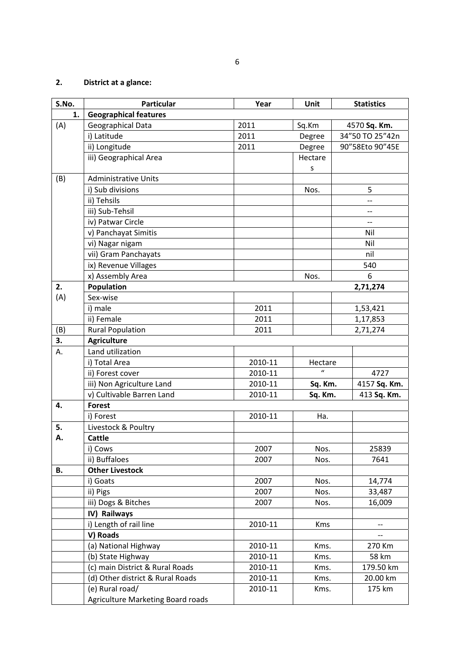# **2. District at a glance:**

| S.No. | <b>Particular</b>                 | Year    | Unit         | <b>Statistics</b>             |
|-------|-----------------------------------|---------|--------------|-------------------------------|
| 1.    | <b>Geographical features</b>      |         |              |                               |
| (A)   | Geographical Data                 | 2011    | Sq.Km        | 4570 Sq. Km.                  |
|       | i) Latitude                       | 2011    | Degree       | 34"50 TO 25"42n               |
|       | ii) Longitude                     | 2011    | Degree       | 90"58Eto 90"45E               |
|       | iii) Geographical Area            |         | Hectare      |                               |
|       |                                   |         | s            |                               |
| (B)   | <b>Administrative Units</b>       |         |              |                               |
|       | i) Sub divisions                  |         | Nos.         | 5                             |
|       | ii) Tehsils                       |         |              |                               |
|       | iii) Sub-Tehsil                   |         |              | --                            |
|       | iv) Patwar Circle                 |         |              | $\hspace{0.05cm} \textbf{--}$ |
|       | v) Panchayat Simitis              |         |              | Nil                           |
|       | vi) Nagar nigam                   |         |              | Nil                           |
|       | vii) Gram Panchayats              |         |              | nil                           |
|       | ix) Revenue Villages              |         |              | 540                           |
|       | x) Assembly Area                  |         | Nos.         | 6                             |
| 2.    | Population                        |         |              | 2,71,274                      |
| (A)   | Sex-wise                          |         |              |                               |
|       | i) male                           | 2011    |              | 1,53,421                      |
|       | ii) Female                        | 2011    |              | 1,17,853                      |
| (B)   | <b>Rural Population</b>           | 2011    |              | 2,71,274                      |
| 3.    | <b>Agriculture</b>                |         |              |                               |
| А.    | Land utilization                  |         |              |                               |
|       | i) Total Area                     | 2010-11 | Hectare      |                               |
|       | ii) Forest cover                  | 2010-11 | $\mathbf{u}$ | 4727                          |
|       | iii) Non Agriculture Land         | 2010-11 | Sq. Km.      | 4157 Sq. Km.                  |
|       | v) Cultivable Barren Land         | 2010-11 | Sq. Km.      | 413 Sq. Km.                   |
| 4.    | <b>Forest</b>                     |         |              |                               |
|       | i) Forest                         | 2010-11 | Ha.          |                               |
| 5.    | Livestock & Poultry               |         |              |                               |
| А.    | <b>Cattle</b>                     |         |              |                               |
|       | i) Cows                           | 2007    | Nos.         | 25839                         |
|       | ii) Buffaloes                     | 2007    | Nos.         | 7641                          |
| В.    | <b>Other Livestock</b>            |         |              |                               |
|       | i) Goats                          | 2007    | Nos.         | 14,774                        |
|       | ii) Pigs                          | 2007    | Nos.         | 33,487                        |
|       | iii) Dogs & Bitches               | 2007    | Nos.         | 16,009                        |
|       | IV) Railways                      |         |              |                               |
|       | i) Length of rail line            | 2010-11 | <b>Kms</b>   | --                            |
|       | V) Roads                          |         |              |                               |
|       | (a) National Highway              | 2010-11 | Kms.         | 270 Km                        |
|       | (b) State Highway                 | 2010-11 | Kms.         | 58 km                         |
|       | (c) main District & Rural Roads   | 2010-11 | Kms.         | 179.50 km                     |
|       | (d) Other district & Rural Roads  | 2010-11 | Kms.         | 20.00 km                      |
|       | (e) Rural road/                   | 2010-11 | Kms.         | 175 km                        |
|       | Agriculture Marketing Board roads |         |              |                               |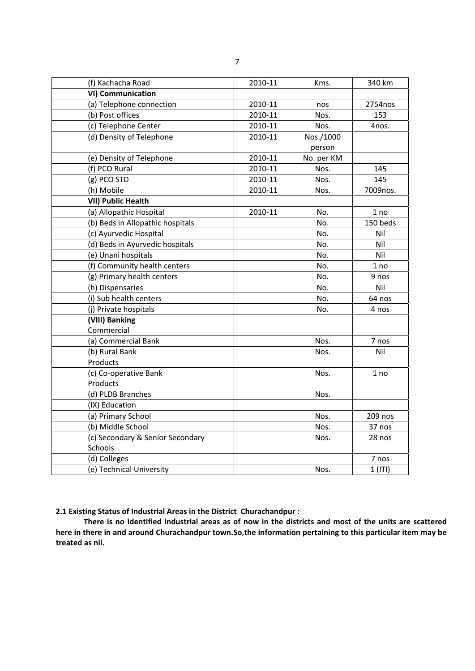| (f) Kachacha Road                | 2010-11 | Kms.       | 340 km    |
|----------------------------------|---------|------------|-----------|
| <b>VI) Communication</b>         |         |            |           |
| (a) Telephone connection         | 2010-11 | nos        | 2754nos   |
| (b) Post offices                 | 2010-11 | Nos.       | 153       |
| (c) Telephone Center             | 2010-11 | Nos.       | 4nos.     |
| (d) Density of Telephone         | 2010-11 | Nos./1000  |           |
|                                  |         | person     |           |
| (e) Density of Telephone         | 2010-11 | No. per KM |           |
| (f) PCO Rural                    | 2010-11 | Nos.       | 145       |
| (g) PCO STD                      | 2010-11 | Nos.       | 145       |
| (h) Mobile                       | 2010-11 | Nos.       | 7009nos.  |
| <b>VII) Public Health</b>        |         |            |           |
| (a) Allopathic Hospital          | 2010-11 | No.        | 1 no      |
| (b) Beds in Allopathic hospitals |         | No.        | 150 beds  |
| (c) Ayurvedic Hospital           |         | No.        | Nil       |
| (d) Beds in Ayurvedic hospitals  |         | No.        | Nil       |
| (e) Unani hospitals              |         | No.        | Nil       |
| (f) Community health centers     |         | No.        | 1 no      |
| (g) Primary health centers       |         | No.        | 9 nos     |
| (h) Dispensaries                 |         | No.        | Nil       |
| (i) Sub health centers           |         | No.        | 64 nos    |
| (j) Private hospitals            |         | No.        | 4 nos     |
| (VIII) Banking                   |         |            |           |
| Commercial                       |         |            |           |
| (a) Commercial Bank              |         | Nos.       | 7 nos     |
| (b) Rural Bank                   |         | Nos.       | Nil       |
| Products                         |         |            |           |
| (c) Co-operative Bank            |         | Nos.       | 1 no      |
| Products                         |         |            |           |
| (d) PLDB Branches                |         | Nos.       |           |
| (IX) Education                   |         |            |           |
| (a) Primary School               |         | Nos.       | 209 nos   |
| (b) Middle School                |         | Nos.       | 37 nos    |
| (c) Secondary & Senior Secondary |         | Nos.       | 28 nos    |
| Schools                          |         |            |           |
| (d) Colleges                     |         |            | 7 nos     |
| (e) Technical University         |         | Nos.       | $1$ (ITI) |

**2.1 Existing Status of Industrial Areas in the District Churachandpur :**

There is no identified industrial areas as of now in the districts and most of the units are scattered **here in there in and around Churachandpur town.So,the information pertaining to this particular item may be treated as nil.**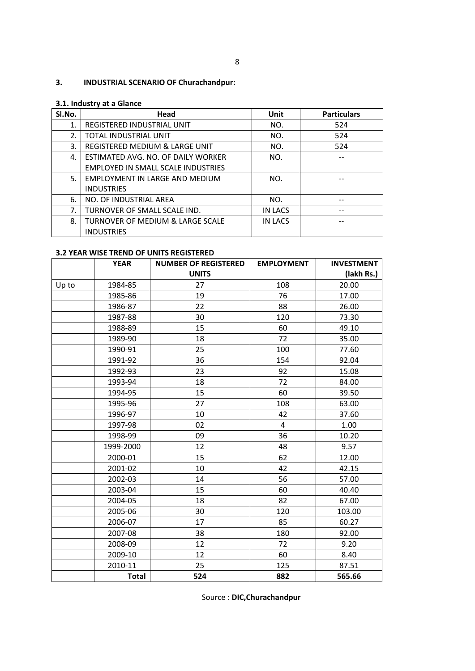## **3. INDUSTRIAL SCENARIO OF Churachandpur:**

#### **3.1. Industry at a Glance**

| SI.No. | Head                               | Unit           | <b>Particulars</b> |
|--------|------------------------------------|----------------|--------------------|
| 1.     | REGISTERED INDUSTRIAL UNIT         | NO.            | 524                |
| 2.     | TOTAL INDUSTRIAL UNIT              | NO.            | 524                |
| 3.     | REGISTERED MEDIUM & LARGE UNIT     | NO.            | 524                |
| 4.     | ESTIMATED AVG. NO. OF DAILY WORKER | NO.            |                    |
|        | EMPLOYED IN SMALL SCALE INDUSTRIES |                |                    |
| 5.     | EMPLOYMENT IN LARGE AND MEDIUM     | NO.            |                    |
|        | <b>INDUSTRIES</b>                  |                |                    |
| 6.     | NO. OF INDUSTRIAL AREA             | NO.            |                    |
| 7.     | TURNOVER OF SMALL SCALE IND.       | <b>IN LACS</b> |                    |
| 8.     | TURNOVER OF MEDIUM & LARGE SCALE   | IN LACS        |                    |
|        | <b>INDUSTRIES</b>                  |                |                    |

#### **3.2 YEAR WISE TREND OF UNITS REGISTERED**

|       | <b>YEAR</b>  | <b>NUMBER OF REGISTERED</b> | <b>EMPLOYMENT</b> | <b>INVESTMENT</b> |
|-------|--------------|-----------------------------|-------------------|-------------------|
|       |              | <b>UNITS</b>                |                   | (lakh Rs.)        |
| Up to | 1984-85      | 27                          | 108               | 20.00             |
|       | 1985-86      | 19                          | 76                | 17.00             |
|       | 1986-87      | 22                          | 88                | 26.00             |
|       | 1987-88      | 30                          | 120               | 73.30             |
|       | 1988-89      | 15                          | 60                | 49.10             |
|       | 1989-90      | 18                          | 72                | 35.00             |
|       | 1990-91      | 25                          | 100               | 77.60             |
|       | 1991-92      | 36                          | 154               | 92.04             |
|       | 1992-93      | 23                          | 92                | 15.08             |
|       | 1993-94      | 18                          | 72                | 84.00             |
|       | 1994-95      | 15                          | 60                | 39.50             |
|       | 1995-96      | 27                          | 108               | 63.00             |
|       | 1996-97      | 10                          | 42                | 37.60             |
|       | 1997-98      | 02                          | 4                 | 1.00              |
|       | 1998-99      | 09                          | 36                | 10.20             |
|       | 1999-2000    | 12                          | 48                | 9.57              |
|       | 2000-01      | 15                          | 62                | 12.00             |
|       | 2001-02      | 10                          | 42                | 42.15             |
|       | 2002-03      | 14                          | 56                | 57.00             |
|       | 2003-04      | 15                          | 60                | 40.40             |
|       | 2004-05      | 18                          | 82                | 67.00             |
|       | 2005-06      | 30                          | 120               | 103.00            |
|       | 2006-07      | 17                          | 85                | 60.27             |
|       | 2007-08      | 38                          | 180               | 92.00             |
|       | 2008-09      | 12                          | 72                | 9.20              |
|       | 2009-10      | 12                          | 60                | 8.40              |
|       | 2010-11      | 25                          | 125               | 87.51             |
|       | <b>Total</b> | 524                         | 882               | 565.66            |

Source : **DIC,Churachandpur**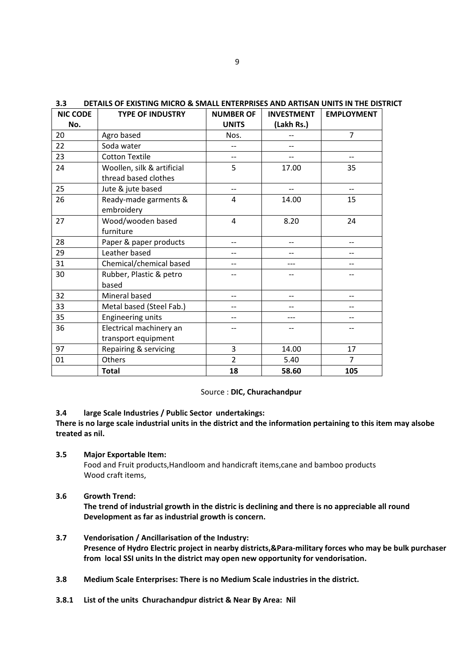| <b>NIC CODE</b> | <b>TYPE OF INDUSTRY</b>    | <b>NUMBER OF</b> | <b>INVESTMENT</b> | <b>EMPLOYMENT</b> |
|-----------------|----------------------------|------------------|-------------------|-------------------|
| No.             |                            | <b>UNITS</b>     | (Lakh Rs.)        |                   |
| 20              | Agro based                 | Nos.             |                   | 7                 |
| 22              | Soda water                 |                  |                   |                   |
| 23              | <b>Cotton Textile</b>      |                  |                   | $-$               |
| 24              | Woollen, silk & artificial | 5                | 17.00             | 35                |
|                 | thread based clothes       |                  |                   |                   |
| 25              | Jute & jute based          | $-$              |                   | $\qquad \qquad -$ |
| 26              | Ready-made garments &      | 4                | 14.00             | 15                |
|                 | embroidery                 |                  |                   |                   |
| 27              | Wood/wooden based          | 4                | 8.20              | 24                |
|                 | furniture                  |                  |                   |                   |
| 28              | Paper & paper products     |                  |                   | $-$               |
| 29              | Leather based              |                  |                   |                   |
| 31              | Chemical/chemical based    |                  |                   |                   |
| 30              | Rubber, Plastic & petro    |                  |                   |                   |
|                 | based                      |                  |                   |                   |
| 32              | Mineral based              |                  | --                | $-$               |
| 33              | Metal based (Steel Fab.)   |                  |                   |                   |
| 35              | Engineering units          |                  |                   | $-$               |
| 36              | Electrical machinery an    |                  |                   |                   |
|                 | transport equipment        |                  |                   |                   |
| 97              | Repairing & servicing      | 3                | 14.00             | 17                |
| 01              | Others                     | $\overline{2}$   | 5.40              | $\overline{7}$    |
|                 | <b>Total</b>               | 18               | 58.60             | 105               |

**3.3 DETAILS OF EXISTING MICRO & SMALL ENTERPRISES AND ARTISAN UNITS IN THE DISTRICT**

#### Source : **DIC, Churachandpur**

#### **3.4 large Scale Industries / Public Sector undertakings:**

There is no large scale industrial units in the district and the information pertaining to this item may alsobe **treated as nil.**

**3.5 Major Exportable Item:**

Food and Fruit products,Handloom and handicraft items,cane and bamboo products Wood craft items,

**3.6 Growth Trend:**

**The trend of industrial growth in the distric is declining and there is no appreciable all round Development as far as industrial growth is concern.**

- **3.7 Vendorisation / Ancillarisation of the Industry: Presence of Hydro Electric project in nearby districts,&Para‐military forces who may be bulk purchaser from local SSI units In the district may open new opportunity for vendorisation.**
- **3.8 Medium Scale Enterprises: There is no Medium Scale industries in the district.**
- **3.8.1 List of the units Churachandpur district & Near By Area: Nil**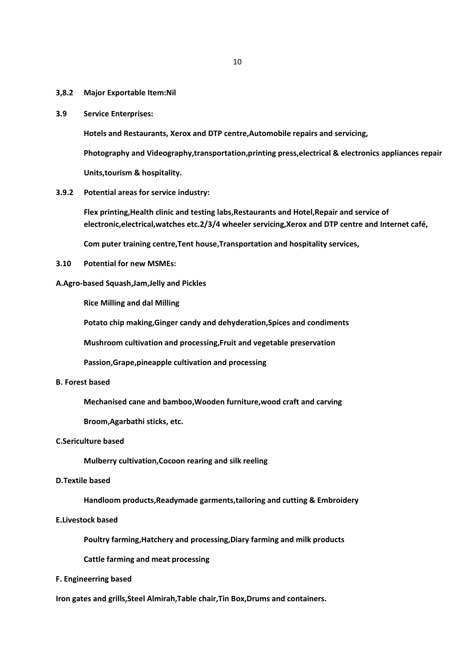#### **3,8.2 Major Exportable Item:Nil**

**3.9 Service Enterprises:**

**Hotels and Restaurants, Xerox and DTP centre,Automobile repairs and servicing,**

**Photography and Videography,transportation,printing press,electrical & electronics appliances repair** 

**Units,tourism & hospitality.**

**3.9.2 Potential areas for service industry:**

**Flex printing,Health clinic and testing labs,Restaurants and Hotel,Repair and service of electronic,electrical,watches etc.2/3/4 wheeler servicing,Xerox and DTP centre and Internet café,**

 **Com puter training centre,Tent house,Transportation and hospitality services,**

**3.10 Potential for new MSMEs:**

#### **A.Agro‐based Squash,Jam,Jelly and Pickles**

 **Rice Milling and dal Milling**

 **Potato chip making,Ginger candy and dehyderation,Spices and condiments**

 **Mushroom cultivation and processing,Fruit and vegetable preservation**

 **Passion,Grape,pineapple cultivation and processing**

#### **B. Forest based**

 **Mechanised cane and bamboo,Wooden furniture,wood craft and carving**

 **Broom,Agarbathi sticks, etc.**

#### **C.Sericulture based**

 **Mulberry cultivation,Cocoon rearing and silk reeling**

#### **D.Textile based**

 **Handloom products,Readymade garments,tailoring and cutting & Embroidery**

#### **E.Livestock based**

 **Poultry farming,Hatchery and processing,Diary farming and milk products**

 **Cattle farming and meat processing**

**F. Engineerring based**

**Iron gates and grills,Steel Almirah,Table chair,Tin Box,Drums and containers.**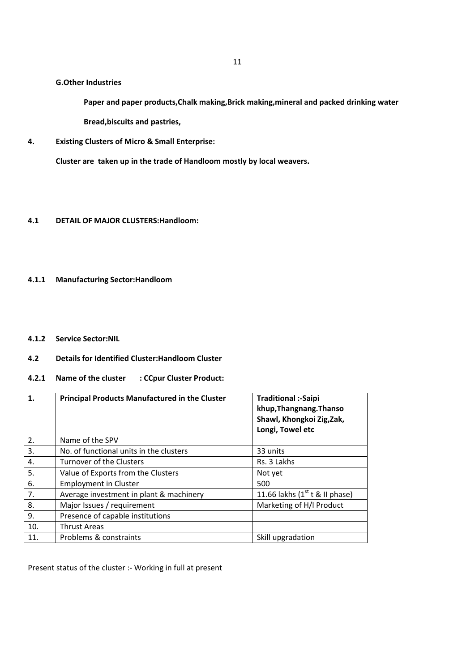#### **G.Other Industries**

 **Paper and paper products,Chalk making,Brick making,mineral and packed drinking water Bread,biscuits and pastries,**

**4. Existing Clusters of Micro & Small Enterprise:**

**Cluster are taken up in the trade of Handloom mostly by local weavers.**

#### **4.1 DETAIL OF MAJOR CLUSTERS:Handloom:**

#### **4.1.1 Manufacturing Sector:Handloom**

**4.1.2 Service Sector:NIL**

#### **4.2 Details for Identified Cluster:Handloom Cluster**

#### **4.2.1 Name of the cluster : CCpur Cluster Product:**

| 1.  | <b>Principal Products Manufactured in the Cluster</b> | <b>Traditional :-Saipi</b><br>khup, Thangnang. Thanso<br>Shawl, Khongkoi Zig, Zak,<br>Longi, Towel etc |
|-----|-------------------------------------------------------|--------------------------------------------------------------------------------------------------------|
| 2.  | Name of the SPV                                       |                                                                                                        |
| 3.  | No. of functional units in the clusters               | 33 units                                                                                               |
| 4.  | Turnover of the Clusters                              | Rs. 3 Lakhs                                                                                            |
| 5.  | Value of Exports from the Clusters                    | Not yet                                                                                                |
| 6.  | <b>Employment in Cluster</b>                          | 500                                                                                                    |
| 7.  | Average investment in plant & machinery               | 11.66 lakhs $(1st t & \text{II phase})$                                                                |
| 8.  | Major Issues / requirement                            | Marketing of H/I Product                                                                               |
| 9.  | Presence of capable institutions                      |                                                                                                        |
| 10. | <b>Thrust Areas</b>                                   |                                                                                                        |
| 11. | Problems & constraints                                | Skill upgradation                                                                                      |

Present status of the cluster :‐ Working in full at present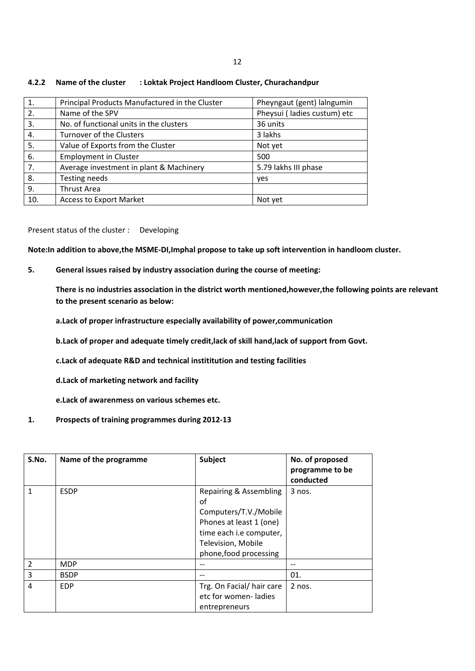| 1.             | Principal Products Manufactured in the Cluster | Pheyngaut (gent) lalngumin  |
|----------------|------------------------------------------------|-----------------------------|
| 2.             | Name of the SPV                                | Pheysui (ladies custum) etc |
| 3.             | No. of functional units in the clusters        | 36 units                    |
| 4.             | Turnover of the Clusters                       | 3 lakhs                     |
| -5.            | Value of Exports from the Cluster              | Not yet                     |
| 6.             | <b>Employment in Cluster</b>                   | 500                         |
| 7 <sub>1</sub> | Average investment in plant & Machinery        | 5.79 lakhs III phase        |
| 8.             | Testing needs                                  | yes                         |
| 9.             | <b>Thrust Area</b>                             |                             |
| 10.            | <b>Access to Export Market</b>                 | Not yet                     |

#### **4.2.2 Name of the cluster : Loktak Project Handloom Cluster, Churachandpur**

Present status of the cluster : Developing

**Note:In addition to above,the MSME‐DI,Imphal propose to take up soft intervention in handloom cluster.**

**5. General issues raised by industry association during the course of meeting:**

**There is no industries association in the district worth mentioned,however,the following points are relevant to the present scenario as below:**

**a.Lack of proper infrastructure especially availability of power,communication**

**b.Lack of proper and adequate timely credit,lack of skill hand,lack of support from Govt.**

**c.Lack of adequate R&D and technical instititution and testing facilities**

**d.Lack of marketing network and facility**

**e.Lack of awarenmess on various schemes etc.**

**1. Prospects of training programmes during 2012‐13**

| S.No.          | Name of the programme | Subject                                                                                                                                                     | No. of proposed<br>programme to be<br>conducted |
|----------------|-----------------------|-------------------------------------------------------------------------------------------------------------------------------------------------------------|-------------------------------------------------|
| 1              | <b>ESDP</b>           | Repairing & Assembling<br>of<br>Computers/T.V./Mobile<br>Phones at least 1 (one)<br>time each i.e computer,<br>Television, Mobile<br>phone, food processing | $3$ nos.                                        |
| $\overline{2}$ | <b>MDP</b>            | --                                                                                                                                                          |                                                 |
| 3              | <b>BSDP</b>           |                                                                                                                                                             | 01.                                             |
| 4              | <b>EDP</b>            | Trg. On Facial/hair care<br>etc for women-ladies<br>entrepreneurs                                                                                           | $2$ nos.                                        |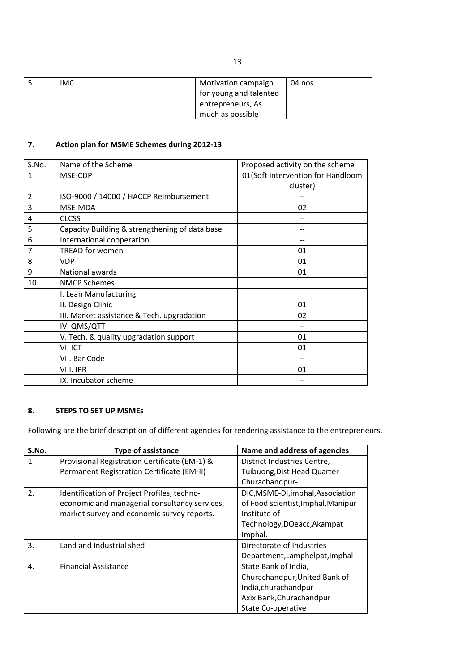| <b>IMC</b> | <b>Motivation campaign</b> | 04 nos. |
|------------|----------------------------|---------|
|            | I for young and talented   |         |
|            | entrepreneurs, As          |         |
|            | much as possible           |         |

# **7. Action plan for MSME Schemes during 2012‐13**

| S.No.          | Name of the Scheme                             | Proposed activity on the scheme   |
|----------------|------------------------------------------------|-----------------------------------|
| 1              | MSE-CDP                                        | 01(Soft intervention for Handloom |
|                |                                                | cluster)                          |
| $\overline{2}$ | ISO-9000 / 14000 / HACCP Reimbursement         |                                   |
| 3              | MSE-MDA                                        | 02                                |
| 4              | <b>CLCSS</b>                                   |                                   |
| 5              | Capacity Building & strengthening of data base |                                   |
| 6              | International cooperation                      |                                   |
| 7              | <b>TREAD for women</b>                         | 01                                |
| 8              | <b>VDP</b>                                     | 01                                |
| 9              | National awards                                | 01                                |
| 10             | <b>NMCP Schemes</b>                            |                                   |
|                | I. Lean Manufacturing                          |                                   |
|                | II. Design Clinic                              | 01                                |
|                | III. Market assistance & Tech. upgradation     | 02                                |
|                | IV. QMS/QTT                                    |                                   |
|                | V. Tech. & quality upgradation support         | 01                                |
|                | VI. ICT                                        | 01                                |
|                | VII. Bar Code                                  |                                   |
|                | VIII. IPR                                      | 01                                |
|                | IX. Incubator scheme                           |                                   |

### **8. STEPS TO SET UP MSMEs**

Following are the brief description of different agencies for rendering assistance to the entrepreneurs.

| S.No. | <b>Type of assistance</b>                     | Name and address of agencies       |
|-------|-----------------------------------------------|------------------------------------|
| 1     | Provisional Registration Certificate (EM-1) & | District Industries Centre,        |
|       | Permanent Registration Certificate (EM-II)    | Tuibuong, Dist Head Quarter        |
|       |                                               | Churachandpur-                     |
| 2.    | Identification of Project Profiles, techno-   | DIC, MSME-DI, imphal, Association  |
|       | economic and managerial consultancy services, | of Food scientist, Imphal, Manipur |
|       | market survey and economic survey reports.    | Institute of                       |
|       |                                               | Technology, DOeacc, Akampat        |
|       |                                               | Imphal.                            |
| 3.    | Land and Industrial shed                      | Directorate of Industries          |
|       |                                               | Department, Lamphelpat, Imphal     |
| 4.    | <b>Financial Assistance</b>                   | State Bank of India,               |
|       |                                               | Churachandpur, United Bank of      |
|       |                                               | India, churachand pur              |
|       |                                               | Axix Bank, Churachandpur           |
|       |                                               | State Co-operative                 |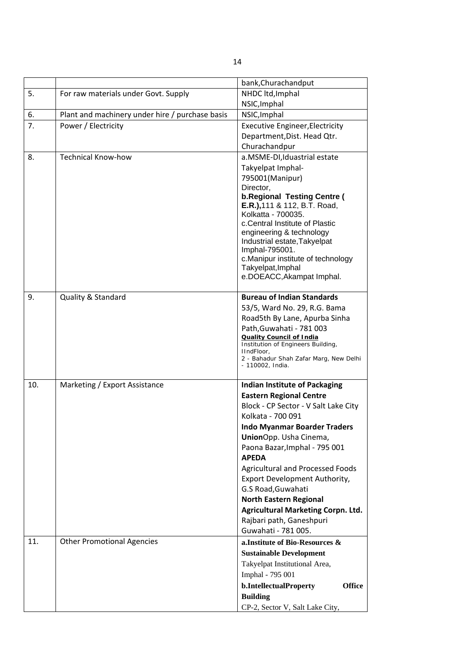|     |                                                 | bank, Churachandput                                  |
|-----|-------------------------------------------------|------------------------------------------------------|
| 5.  | For raw materials under Govt. Supply            | NHDC ltd, Imphal                                     |
|     |                                                 | NSIC, Imphal                                         |
| 6.  | Plant and machinery under hire / purchase basis | NSIC, Imphal                                         |
| 7.  | Power / Electricity                             | <b>Executive Engineer, Electricity</b>               |
|     |                                                 | Department, Dist. Head Qtr.                          |
|     |                                                 | Churachandpur                                        |
| 8.  | <b>Technical Know-how</b>                       | a.MSME-DI, Iduastrial estate                         |
|     |                                                 | Takyelpat Imphal-                                    |
|     |                                                 | 795001(Manipur)                                      |
|     |                                                 | Director,                                            |
|     |                                                 | <b>b.Regional Testing Centre (</b>                   |
|     |                                                 | E.R.), 111 & 112, B.T. Road,<br>Kolkatta - 700035.   |
|     |                                                 | c. Central Institute of Plastic                      |
|     |                                                 | engineering & technology                             |
|     |                                                 | Industrial estate, Takyelpat                         |
|     |                                                 | Imphal-795001.                                       |
|     |                                                 | c.Manipur institute of technology                    |
|     |                                                 | Takyelpat, Imphal                                    |
|     |                                                 | e.DOEACC, Akampat Imphal.                            |
| 9.  | <b>Quality &amp; Standard</b>                   | <b>Bureau of Indian Standards</b>                    |
|     |                                                 | 53/5, Ward No. 29, R.G. Bama                         |
|     |                                                 | Road5th By Lane, Apurba Sinha                        |
|     |                                                 | Path, Guwahati - 781 003                             |
|     |                                                 | <b>Quality Council of India</b>                      |
|     |                                                 | Institution of Engineers Building,                   |
|     |                                                 | IIndFloor,<br>2 - Bahadur Shah Zafar Marg, New Delhi |
|     |                                                 | - 110002, India.                                     |
|     |                                                 |                                                      |
| 10. | Marketing / Export Assistance                   | <b>Indian Institute of Packaging</b>                 |
|     |                                                 | <b>Eastern Regional Centre</b>                       |
|     |                                                 | Block - CP Sector - V Salt Lake City                 |
|     |                                                 | Kolkata - 700 091                                    |
|     |                                                 | <b>Indo Myanmar Boarder Traders</b>                  |
|     |                                                 | UnionOpp. Usha Cinema,                               |
|     |                                                 | Paona Bazar, Imphal - 795 001                        |
|     |                                                 | <b>APEDA</b>                                         |
|     |                                                 | Agricultural and Processed Foods                     |
|     |                                                 | Export Development Authority,                        |
|     |                                                 | G.S Road, Guwahati                                   |
|     |                                                 | <b>North Eastern Regional</b>                        |
|     |                                                 | <b>Agricultural Marketing Corpn. Ltd.</b>            |
|     |                                                 | Rajbari path, Ganeshpuri                             |
|     |                                                 | Guwahati - 781 005.                                  |
| 11. | <b>Other Promotional Agencies</b>               | a. Institute of Bio-Resources &                      |
|     |                                                 | <b>Sustainable Development</b>                       |
|     |                                                 | Takyelpat Institutional Area,                        |
|     |                                                 | Imphal - 795 001                                     |
|     |                                                 | b.IntellectualProperty<br><b>Office</b>              |
|     |                                                 | <b>Building</b>                                      |
|     |                                                 | CP-2, Sector V, Salt Lake City,                      |